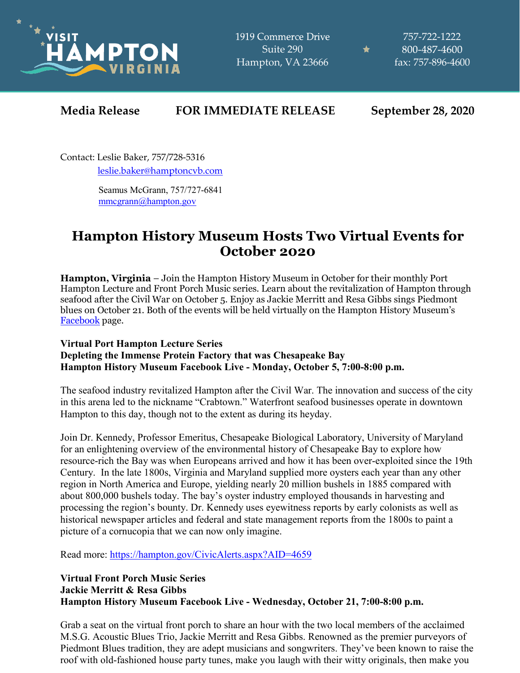

1919 Commerce Drive Suite 290 Hampton, VA 23666

757-722-1222 800-487-4600 fax: 757-896-4600

★

## **Media Release FOR IMMEDIATE RELEASE September 28, 2020**

Contact: Leslie Baker, 757/728-5316 [leslie.baker@hamptoncvb.com](mailto:leslie.baker@hamptoncvb.com)

> Seamus McGrann, 757/727-6841 [mmcgrann@hampton.gov](mailto:mmcgrann@hampton.gov)

## **Hampton History Museum Hosts Two Virtual Events for October 2020**

**Hampton, Virginia** – Join the Hampton History Museum in October for their monthly Port Hampton Lecture and Front Porch Music series. Learn about the revitalization of Hampton through seafood after the Civil War on October 5. Enjoy as Jackie Merritt and Resa Gibbs sings Piedmont blues on October 21. Both of the events will be held virtually on the Hampton History Museum's [Facebook](https://www.facebook.com/HamptonHistoryMuseum) page.

## **Virtual Port Hampton Lecture Series Depleting the Immense Protein Factory that was Chesapeake Bay Hampton History Museum Facebook Live - Monday, October 5, 7:00-8:00 p.m.**

The seafood industry revitalized Hampton after the Civil War. The innovation and success of the city in this arena led to the nickname "Crabtown." Waterfront seafood businesses operate in downtown Hampton to this day, though not to the extent as during its heyday.

Join Dr. Kennedy, Professor Emeritus, Chesapeake Biological Laboratory, University of Maryland for an enlightening overview of the environmental history of Chesapeake Bay to explore how resource-rich the Bay was when Europeans arrived and how it has been over-exploited since the 19th Century. In the late 1800s, Virginia and Maryland supplied more oysters each year than any other region in North America and Europe, yielding nearly 20 million bushels in 1885 compared with about 800,000 bushels today. The bay's oyster industry employed thousands in harvesting and processing the region's bounty. Dr. Kennedy uses eyewitness reports by early colonists as well as historical newspaper articles and federal and state management reports from the 1800s to paint a picture of a cornucopia that we can now only imagine.

Read more:<https://hampton.gov/CivicAlerts.aspx?AID=4659>

## **Virtual Front Porch Music Series Jackie Merritt & Resa Gibbs Hampton History Museum Facebook Live - Wednesday, October 21, 7:00-8:00 p.m.**

Grab a seat on the virtual front porch to share an hour with the two local members of the acclaimed M.S.G. Acoustic Blues Trio, Jackie Merritt and Resa Gibbs. Renowned as the premier purveyors of Piedmont Blues tradition, they are adept musicians and songwriters. They've been known to raise the roof with old-fashioned house party tunes, make you laugh with their witty originals, then make you